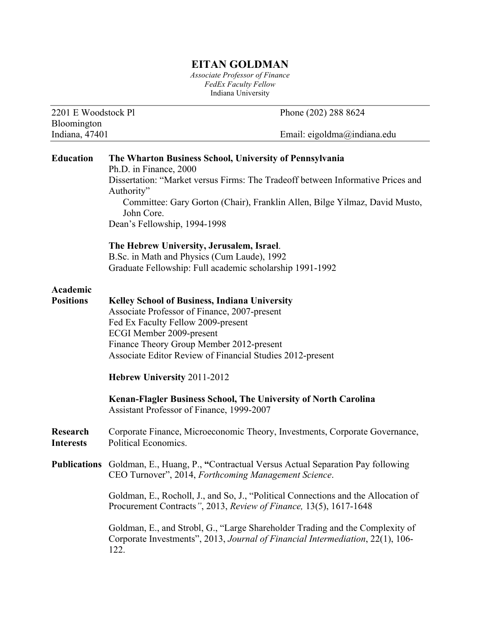## **EITAN GOLDMAN**

*Associate Professor of Finance FedEx Faculty Fellow* Indiana University

2201 E Woodstock Pl Phone (202) 288 8624

Bloomington Indiana, 47401 Email: eigoldma@indiana.edu **Education The Wharton Business School, University of Pennsylvania** Ph.D. in Finance, 2000 Dissertation: "Market versus Firms: The Tradeoff between Informative Prices and Authority" Committee: Gary Gorton (Chair), Franklin Allen, Bilge Yilmaz, David Musto, John Core. Dean's Fellowship, 1994-1998 **The Hebrew University, Jerusalem, Israel**. B.Sc. in Math and Physics (Cum Laude), 1992 Graduate Fellowship: Full academic scholarship 1991-1992 **Academic Positions Kelley School of Business, Indiana University** Associate Professor of Finance, 2007-present Fed Ex Faculty Fellow 2009-present ECGI Member 2009-present Finance Theory Group Member 2012-present Associate Editor Review of Financial Studies 2012-present **Hebrew University** 2011-2012 **Kenan-Flagler Business School, The University of North Carolina** Assistant Professor of Finance, 1999-2007 **Research** Corporate Finance, Microeconomic Theory, Investments, Corporate Governance, **Interests** Political Economics. **Publications** Goldman, E., Huang, P., **"**Contractual Versus Actual Separation Pay following CEO Turnover", 2014, *Forthcoming Management Science*. Goldman, E., Rocholl, J., and So, J., "Political Connections and the Allocation of Procurement Contracts*"*, 2013, *Review of Finance,* 13(5), 1617-1648 Goldman, E., and Strobl, G., "Large Shareholder Trading and the Complexity of Corporate Investments", 2013, *Journal of Financial Intermediation*, 22(1), 106- 122.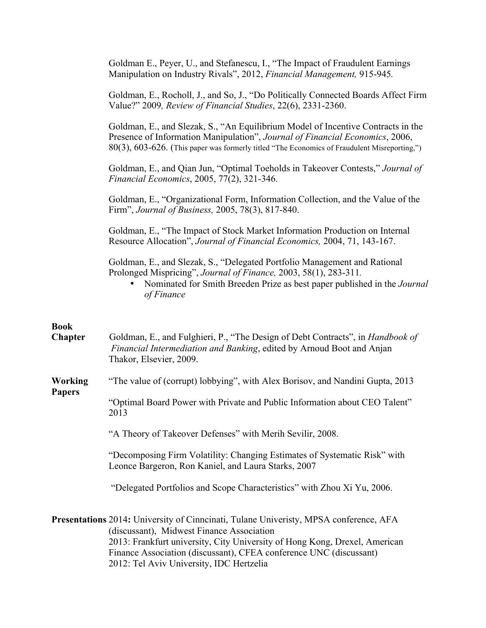|                                                                                                                                                                                                                                                                                                                                    | Goldman E., Peyer, U., and Stefanescu, I., "The Impact of Fraudulent Earnings<br>Manipulation on Industry Rivals", 2012, Financial Management, 915-945.                                                                                                          |
|------------------------------------------------------------------------------------------------------------------------------------------------------------------------------------------------------------------------------------------------------------------------------------------------------------------------------------|------------------------------------------------------------------------------------------------------------------------------------------------------------------------------------------------------------------------------------------------------------------|
|                                                                                                                                                                                                                                                                                                                                    | Goldman, E., Rocholl, J., and So, J., "Do Politically Connected Boards Affect Firm<br>Value?" 2009, Review of Financial Studies, 22(6), 2331-2360.                                                                                                               |
|                                                                                                                                                                                                                                                                                                                                    | Goldman, E., and Slezak, S., "An Equilibrium Model of Incentive Contracts in the<br>Presence of Information Manipulation", Journal of Financial Economics, 2006,<br>80(3), 603-626. (This paper was formerly titled "The Economics of Fraudulent Misreporting,") |
|                                                                                                                                                                                                                                                                                                                                    | Goldman, E., and Qian Jun, "Optimal Toeholds in Takeover Contests," Journal of<br>Financial Economics, 2005, 77(2), 321-346.                                                                                                                                     |
|                                                                                                                                                                                                                                                                                                                                    | Goldman, E., "Organizational Form, Information Collection, and the Value of the<br>Firm", Journal of Business, 2005, 78(3), 817-840.                                                                                                                             |
|                                                                                                                                                                                                                                                                                                                                    | Goldman, E., "The Impact of Stock Market Information Production on Internal<br>Resource Allocation", Journal of Financial Economics, 2004, 71, 143-167.                                                                                                          |
|                                                                                                                                                                                                                                                                                                                                    | Goldman, E., and Slezak, S., "Delegated Portfolio Management and Rational<br>Prolonged Mispricing", Journal of Finance, 2003, 58(1), 283-311.<br>Nominated for Smith Breeden Prize as best paper published in the Journal<br>of Finance                          |
|                                                                                                                                                                                                                                                                                                                                    |                                                                                                                                                                                                                                                                  |
| <b>Book</b><br>Chapter                                                                                                                                                                                                                                                                                                             | Goldman, E., and Fulghieri, P., "The Design of Debt Contracts", in <i>Handbook of</i><br>Financial Intermediation and Banking, edited by Arnoud Boot and Anjan<br>Thakor, Elsevier, 2009.                                                                        |
| <b>Working</b><br><b>Papers</b>                                                                                                                                                                                                                                                                                                    | "The value of (corrupt) lobbying", with Alex Borisov, and Nandini Gupta, 2013                                                                                                                                                                                    |
|                                                                                                                                                                                                                                                                                                                                    | "Optimal Board Power with Private and Public Information about CEO Talent"<br>2013                                                                                                                                                                               |
|                                                                                                                                                                                                                                                                                                                                    | "A Theory of Takeover Defenses" with Merih Sevilir, 2008.                                                                                                                                                                                                        |
|                                                                                                                                                                                                                                                                                                                                    | "Decomposing Firm Volatility: Changing Estimates of Systematic Risk" with<br>Leonce Bargeron, Ron Kaniel, and Laura Starks, 2007                                                                                                                                 |
|                                                                                                                                                                                                                                                                                                                                    | "Delegated Portfolios and Scope Characteristics" with Zhou Xi Yu, 2006.                                                                                                                                                                                          |
| Presentations 2014: University of Cinncinati, Tulane University, MPSA conference, AFA<br>(discussant), Midwest Finance Association<br>2013: Frankfurt university, City University of Hong Kong, Drexel, American<br>Finance Association (discussant), CFEA conference UNC (discussant)<br>2012: Tel Aviv University, IDC Hertzelia |                                                                                                                                                                                                                                                                  |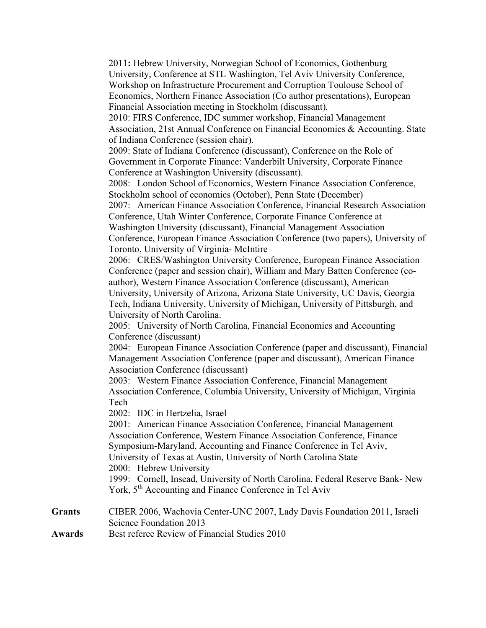|                                | 2011: Hebrew University, Norwegian School of Economics, Gothenburg<br>University, Conference at STL Washington, Tel Aviv University Conference,<br>Workshop on Infrastructure Procurement and Corruption Toulouse School of<br>Economics, Northern Finance Association (Co author presentations), European<br>Financial Association meeting in Stockholm (discussant).<br>2010: FIRS Conference, IDC summer workshop, Financial Management<br>Association, 21st Annual Conference on Financial Economics & Accounting. State<br>of Indiana Conference (session chair).<br>2009: State of Indiana Conference (discussant), Conference on the Role of<br>Government in Corporate Finance: Vanderbilt University, Corporate Finance<br>Conference at Washington University (discussant).<br>2008: London School of Economics, Western Finance Association Conference,<br>Stockholm school of economics (October), Penn State (December)<br>2007: American Finance Association Conference, Financial Research Association<br>Conference, Utah Winter Conference, Corporate Finance Conference at<br>Washington University (discussant), Financial Management Association<br>Conference, European Finance Association Conference (two papers), University of<br>Toronto, University of Virginia-McIntire<br>2006: CRES/Washington University Conference, European Finance Association<br>Conference (paper and session chair), William and Mary Batten Conference (co-<br>author), Western Finance Association Conference (discussant), American<br>University, University of Arizona, Arizona State University, UC Davis, Georgia<br>Tech, Indiana University, University of Michigan, University of Pittsburgh, and<br>University of North Carolina.<br>2005: University of North Carolina, Financial Economics and Accounting<br>Conference (discussant)<br>2004: European Finance Association Conference (paper and discussant), Financial<br>Management Association Conference (paper and discussant), American Finance<br><b>Association Conference (discussant)</b><br>2003: Western Finance Association Conference, Financial Management<br>Association Conference, Columbia University, University of Michigan, Virginia<br>Tech<br>2002: IDC in Hertzelia, Israel<br>2001: American Finance Association Conference, Financial Management<br>Association Conference, Western Finance Association Conference, Finance<br>Symposium-Maryland, Accounting and Finance Conference in Tel Aviv,<br>University of Texas at Austin, University of North Carolina State<br>2000: Hebrew University |
|--------------------------------|------------------------------------------------------------------------------------------------------------------------------------------------------------------------------------------------------------------------------------------------------------------------------------------------------------------------------------------------------------------------------------------------------------------------------------------------------------------------------------------------------------------------------------------------------------------------------------------------------------------------------------------------------------------------------------------------------------------------------------------------------------------------------------------------------------------------------------------------------------------------------------------------------------------------------------------------------------------------------------------------------------------------------------------------------------------------------------------------------------------------------------------------------------------------------------------------------------------------------------------------------------------------------------------------------------------------------------------------------------------------------------------------------------------------------------------------------------------------------------------------------------------------------------------------------------------------------------------------------------------------------------------------------------------------------------------------------------------------------------------------------------------------------------------------------------------------------------------------------------------------------------------------------------------------------------------------------------------------------------------------------------------------------------------------------------------------------------------------------------------------------------------------------------------------------------------------------------------------------------------------------------------------------------------------------------------------------------------------------------------------------------------------------------------------------------------------------------------------------------------------------------------------------------------------------------------------------------------------|
|                                | 1999: Cornell, Insead, University of North Carolina, Federal Reserve Bank- New<br>York, 5 <sup>th</sup> Accounting and Finance Conference in Tel Aviv                                                                                                                                                                                                                                                                                                                                                                                                                                                                                                                                                                                                                                                                                                                                                                                                                                                                                                                                                                                                                                                                                                                                                                                                                                                                                                                                                                                                                                                                                                                                                                                                                                                                                                                                                                                                                                                                                                                                                                                                                                                                                                                                                                                                                                                                                                                                                                                                                                          |
| <b>Grants</b><br><b>Awards</b> | CIBER 2006, Wachovia Center-UNC 2007, Lady Davis Foundation 2011, Israeli<br>Science Foundation 2013<br>Best referee Review of Financial Studies 2010                                                                                                                                                                                                                                                                                                                                                                                                                                                                                                                                                                                                                                                                                                                                                                                                                                                                                                                                                                                                                                                                                                                                                                                                                                                                                                                                                                                                                                                                                                                                                                                                                                                                                                                                                                                                                                                                                                                                                                                                                                                                                                                                                                                                                                                                                                                                                                                                                                          |
|                                |                                                                                                                                                                                                                                                                                                                                                                                                                                                                                                                                                                                                                                                                                                                                                                                                                                                                                                                                                                                                                                                                                                                                                                                                                                                                                                                                                                                                                                                                                                                                                                                                                                                                                                                                                                                                                                                                                                                                                                                                                                                                                                                                                                                                                                                                                                                                                                                                                                                                                                                                                                                                |

Awards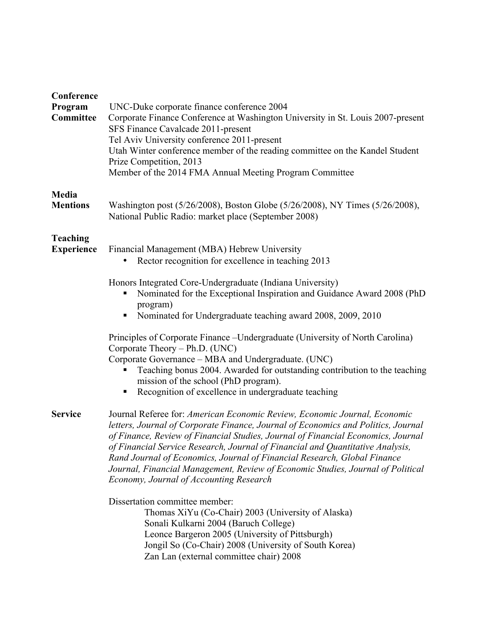| Conference<br>Program<br>Committee   | UNC-Duke corporate finance conference 2004<br>Corporate Finance Conference at Washington University in St. Louis 2007-present<br>SFS Finance Cavalcade 2011-present<br>Tel Aviv University conference 2011-present<br>Utah Winter conference member of the reading committee on the Kandel Student<br>Prize Competition, 2013<br>Member of the 2014 FMA Annual Meeting Program Committee                                                                                                                                                       |
|--------------------------------------|------------------------------------------------------------------------------------------------------------------------------------------------------------------------------------------------------------------------------------------------------------------------------------------------------------------------------------------------------------------------------------------------------------------------------------------------------------------------------------------------------------------------------------------------|
| Media<br><b>Mentions</b>             | Washington post (5/26/2008), Boston Globe (5/26/2008), NY Times (5/26/2008),<br>National Public Radio: market place (September 2008)                                                                                                                                                                                                                                                                                                                                                                                                           |
| <b>Teaching</b><br><b>Experience</b> | Financial Management (MBA) Hebrew University<br>Rector recognition for excellence in teaching 2013                                                                                                                                                                                                                                                                                                                                                                                                                                             |
|                                      | Honors Integrated Core-Undergraduate (Indiana University)<br>Nominated for the Exceptional Inspiration and Guidance Award 2008 (PhD<br>program)<br>Nominated for Undergraduate teaching award 2008, 2009, 2010                                                                                                                                                                                                                                                                                                                                 |
|                                      | Principles of Corporate Finance – Undergraduate (University of North Carolina)<br>Corporate Theory – Ph.D. (UNC)<br>Corporate Governance - MBA and Undergraduate. (UNC)<br>Teaching bonus 2004. Awarded for outstanding contribution to the teaching<br>mission of the school (PhD program).<br>Recognition of excellence in undergraduate teaching                                                                                                                                                                                            |
| <b>Service</b>                       | Journal Referee for: American Economic Review, Economic Journal, Economic<br>letters, Journal of Corporate Finance, Journal of Economics and Politics, Journal<br>of Finance, Review of Financial Studies, Journal of Financial Economics, Journal<br>of Financial Service Research, Journal of Financial and Quantitative Analysis,<br>Rand Journal of Economics, Journal of Financial Research, Global Finance<br>Journal, Financial Management, Review of Economic Studies, Journal of Political<br>Economy, Journal of Accounting Research |
|                                      | Dissertation committee member:<br>Thomas XiYu (Co-Chair) 2003 (University of Alaska)<br>Sonali Kulkarni 2004 (Baruch College)<br>Leonce Bargeron 2005 (University of Pittsburgh)<br>Jongil So (Co-Chair) 2008 (University of South Korea)<br>Zan Lan (external committee chair) 2008                                                                                                                                                                                                                                                           |